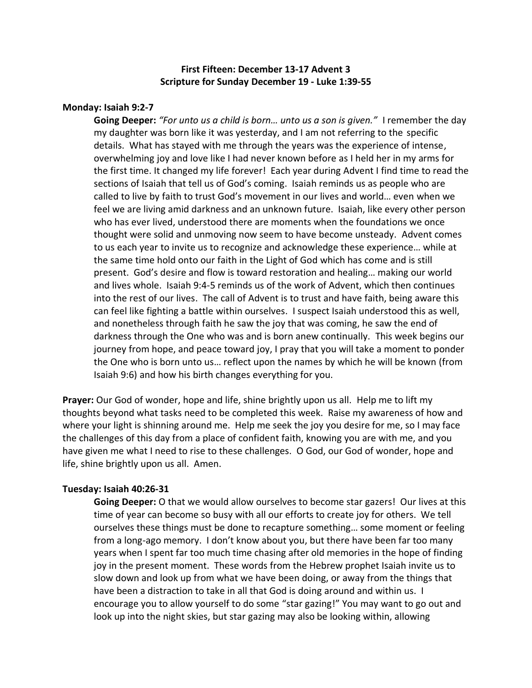# **First Fifteen: December 13-17 Advent 3 Scripture for Sunday December 19 - Luke 1:39-55**

# **Monday: Isaiah 9:2-7**

**Going Deeper:** *"For unto us a child is born… unto us a son is given."* I remember the day my daughter was born like it was yesterday, and I am not referring to the specific details. What has stayed with me through the years was the experience of intense, overwhelming joy and love like I had never known before as I held her in my arms for the first time. It changed my life forever! Each year during Advent I find time to read the sections of Isaiah that tell us of God's coming. Isaiah reminds us as people who are called to live by faith to trust God's movement in our lives and world… even when we feel we are living amid darkness and an unknown future. Isaiah, like every other person who has ever lived, understood there are moments when the foundations we once thought were solid and unmoving now seem to have become unsteady. Advent comes to us each year to invite us to recognize and acknowledge these experience… while at the same time hold onto our faith in the Light of God which has come and is still present. God's desire and flow is toward restoration and healing… making our world and lives whole. Isaiah 9:4-5 reminds us of the work of Advent, which then continues into the rest of our lives. The call of Advent is to trust and have faith, being aware this can feel like fighting a battle within ourselves. I suspect Isaiah understood this as well, and nonetheless through faith he saw the joy that was coming, he saw the end of darkness through the One who was and is born anew continually. This week begins our journey from hope, and peace toward joy, I pray that you will take a moment to ponder the One who is born unto us… reflect upon the names by which he will be known (from Isaiah 9:6) and how his birth changes everything for you.

**Prayer:** Our God of wonder, hope and life, shine brightly upon us all. Help me to lift my thoughts beyond what tasks need to be completed this week. Raise my awareness of how and where your light is shinning around me. Help me seek the joy you desire for me, so I may face the challenges of this day from a place of confident faith, knowing you are with me, and you have given me what I need to rise to these challenges. O God, our God of wonder, hope and life, shine brightly upon us all. Amen.

### **Tuesday: Isaiah 40:26-31**

**Going Deeper:** O that we would allow ourselves to become star gazers! Our lives at this time of year can become so busy with all our efforts to create joy for others. We tell ourselves these things must be done to recapture something… some moment or feeling from a long-ago memory. I don't know about you, but there have been far too many years when I spent far too much time chasing after old memories in the hope of finding joy in the present moment. These words from the Hebrew prophet Isaiah invite us to slow down and look up from what we have been doing, or away from the things that have been a distraction to take in all that God is doing around and within us. I encourage you to allow yourself to do some "star gazing!" You may want to go out and look up into the night skies, but star gazing may also be looking within, allowing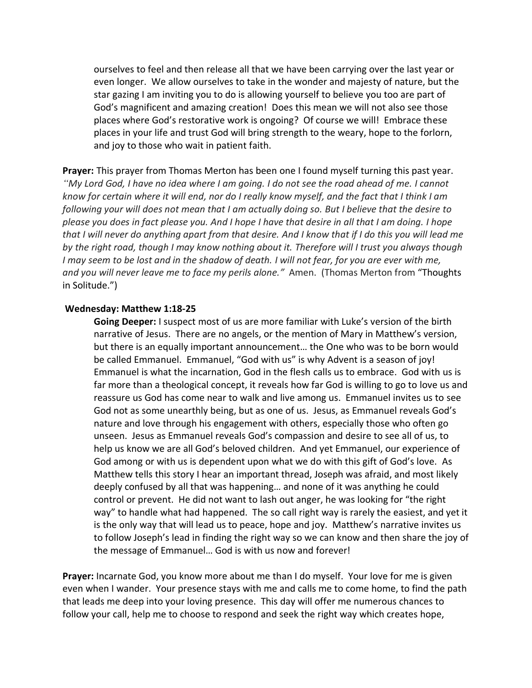ourselves to feel and then release all that we have been carrying over the last year or even longer. We allow ourselves to take in the wonder and majesty of nature, but the star gazing I am inviting you to do is allowing yourself to believe you too are part of God's magnificent and amazing creation! Does this mean we will not also see those places where God's restorative work is ongoing? Of course we will! Embrace these places in your life and trust God will bring strength to the weary, hope to the forlorn, and joy to those who wait in patient faith.

**Prayer:** This prayer from Thomas Merton has been one I found myself turning this past year. *"My Lord God, I have no idea where I am going. I do not see the road ahead of me. I cannot know for certain where it will end, nor do I really know myself, and the fact that I think I am following your will does not mean that I am actually doing so. But I believe that the desire to please you does in fact please you. And I hope I have that desire in all that I am doing. I hope that I will never do anything apart from that desire. And I know that if I do this you will lead me by the right road, though I may know nothing about it. Therefore will I trust you always though I may seem to be lost and in the shadow of death. I will not fear, for you are ever with me, and you will never leave me to face my perils alone."* Amen. (Thomas Merton from "Thoughts in Solitude.")

#### **Wednesday: Matthew 1:18-25**

**Going Deeper:** I suspect most of us are more familiar with Luke's version of the birth narrative of Jesus. There are no angels, or the mention of Mary in Matthew's version, but there is an equally important announcement… the One who was to be born would be called Emmanuel. Emmanuel, "God with us" is why Advent is a season of joy! Emmanuel is what the incarnation, God in the flesh calls us to embrace. God with us is far more than a theological concept, it reveals how far God is willing to go to love us and reassure us God has come near to walk and live among us. Emmanuel invites us to see God not as some unearthly being, but as one of us. Jesus, as Emmanuel reveals God's nature and love through his engagement with others, especially those who often go unseen. Jesus as Emmanuel reveals God's compassion and desire to see all of us, to help us know we are all God's beloved children. And yet Emmanuel, our experience of God among or with us is dependent upon what we do with this gift of God's love. As Matthew tells this story I hear an important thread, Joseph was afraid, and most likely deeply confused by all that was happening… and none of it was anything he could control or prevent. He did not want to lash out anger, he was looking for "the right way" to handle what had happened. The so call right way is rarely the easiest, and yet it is the only way that will lead us to peace, hope and joy. Matthew's narrative invites us to follow Joseph's lead in finding the right way so we can know and then share the joy of the message of Emmanuel… God is with us now and forever!

**Prayer:** Incarnate God, you know more about me than I do myself. Your love for me is given even when I wander. Your presence stays with me and calls me to come home, to find the path that leads me deep into your loving presence. This day will offer me numerous chances to follow your call, help me to choose to respond and seek the right way which creates hope,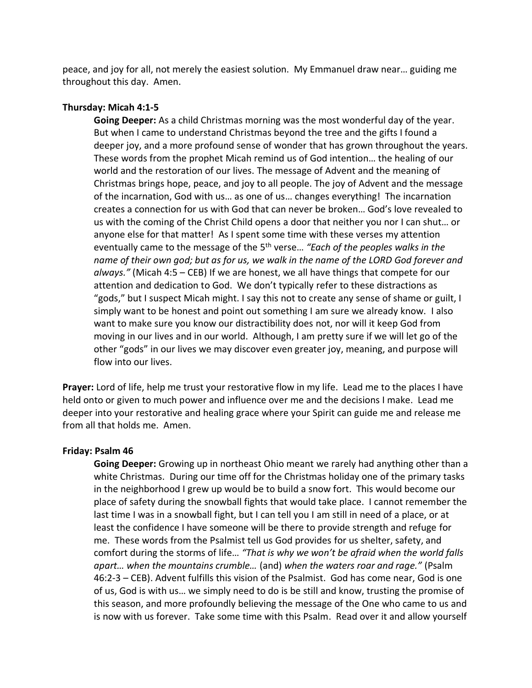peace, and joy for all, not merely the easiest solution. My Emmanuel draw near… guiding me throughout this day. Amen.

## **Thursday: Micah 4:1-5**

**Going Deeper:** As a child Christmas morning was the most wonderful day of the year. But when I came to understand Christmas beyond the tree and the gifts I found a deeper joy, and a more profound sense of wonder that has grown throughout the years. These words from the prophet Micah remind us of God intention… the healing of our world and the restoration of our lives. The message of Advent and the meaning of Christmas brings hope, peace, and joy to all people. The joy of Advent and the message of the incarnation, God with us… as one of us… changes everything! The incarnation creates a connection for us with God that can never be broken… God's love revealed to us with the coming of the Christ Child opens a door that neither you nor I can shut… or anyone else for that matter! As I spent some time with these verses my attention eventually came to the message of the 5th verse… *"Each of the peoples walks in the name of their own god; but as for us, we walk in the name of the LORD God forever and always."* (Micah 4:5 – CEB) If we are honest, we all have things that compete for our attention and dedication to God. We don't typically refer to these distractions as "gods," but I suspect Micah might. I say this not to create any sense of shame or guilt, I simply want to be honest and point out something I am sure we already know. I also want to make sure you know our distractibility does not, nor will it keep God from moving in our lives and in our world. Although, I am pretty sure if we will let go of the other "gods" in our lives we may discover even greater joy, meaning, and purpose will flow into our lives.

**Prayer:** Lord of life, help me trust your restorative flow in my life. Lead me to the places I have held onto or given to much power and influence over me and the decisions I make. Lead me deeper into your restorative and healing grace where your Spirit can guide me and release me from all that holds me. Amen.

### **Friday: Psalm 46**

**Going Deeper:** Growing up in northeast Ohio meant we rarely had anything other than a white Christmas. During our time off for the Christmas holiday one of the primary tasks in the neighborhood I grew up would be to build a snow fort. This would become our place of safety during the snowball fights that would take place. I cannot remember the last time I was in a snowball fight, but I can tell you I am still in need of a place, or at least the confidence I have someone will be there to provide strength and refuge for me. These words from the Psalmist tell us God provides for us shelter, safety, and comfort during the storms of life… *"That is why we won't be afraid when the world falls apart… when the mountains crumble…* (and) *when the waters roar and rage."* (Psalm 46:2-3 – CEB). Advent fulfills this vision of the Psalmist. God has come near, God is one of us, God is with us… we simply need to do is be still and know, trusting the promise of this season, and more profoundly believing the message of the One who came to us and is now with us forever. Take some time with this Psalm. Read over it and allow yourself